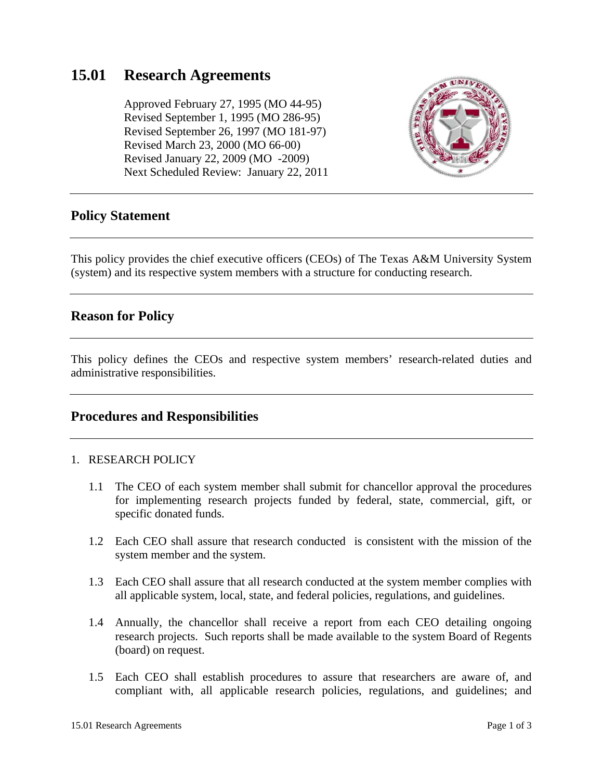# **15.01 Research Agreements**

 Approved February 27, 1995 (MO 44-95) Revised September 1, 1995 (MO 286-95) Revised September 26, 1997 (MO 181-97) Revised March 23, 2000 (MO 66-00) Revised January 22, 2009 (MO -2009) Next Scheduled Review: January 22, 2011



# **Policy Statement**

This policy provides the chief executive officers (CEOs) of The Texas A&M University System (system) and its respective system members with a structure for conducting research.

# **Reason for Policy**

This policy defines the CEOs and respective system members' research-related duties and administrative responsibilities.

### **Procedures and Responsibilities**

#### 1. RESEARCH POLICY

- 1.1 The CEO of each system member shall submit for chancellor approval the procedures for implementing research projects funded by federal, state, commercial, gift, or specific donated funds.
- 1.2 Each CEO shall assure that research conducted is consistent with the mission of the system member and the system.
- 1.3 Each CEO shall assure that all research conducted at the system member complies with all applicable system, local, state, and federal policies, regulations, and guidelines.
- 1.4 Annually, the chancellor shall receive a report from each CEO detailing ongoing research projects. Such reports shall be made available to the system Board of Regents (board) on request.
- 1.5 Each CEO shall establish procedures to assure that researchers are aware of, and compliant with, all applicable research policies, regulations, and guidelines; and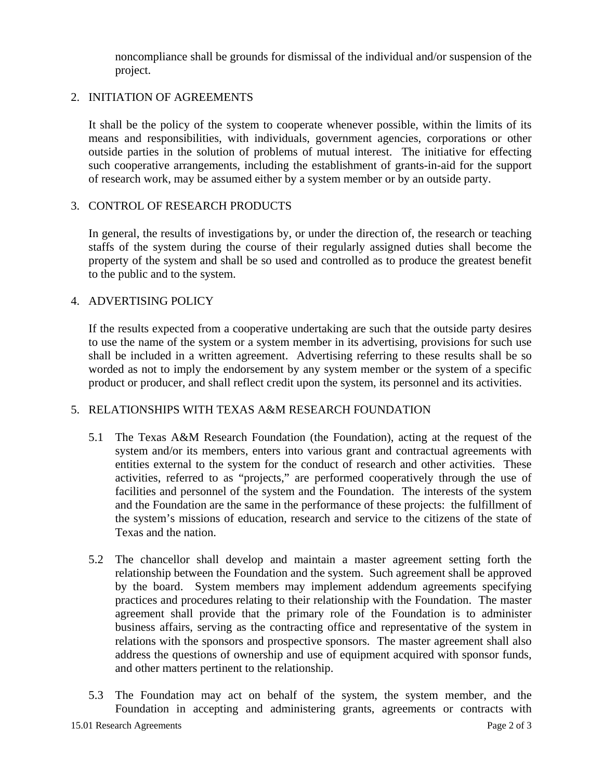noncompliance shall be grounds for dismissal of the individual and/or suspension of the project.

### 2. INITIATION OF AGREEMENTS

It shall be the policy of the system to cooperate whenever possible, within the limits of its means and responsibilities, with individuals, government agencies, corporations or other outside parties in the solution of problems of mutual interest. The initiative for effecting such cooperative arrangements, including the establishment of grants-in-aid for the support of research work, may be assumed either by a system member or by an outside party.

### 3. CONTROL OF RESEARCH PRODUCTS

In general, the results of investigations by, or under the direction of, the research or teaching staffs of the system during the course of their regularly assigned duties shall become the property of the system and shall be so used and controlled as to produce the greatest benefit to the public and to the system.

### 4. ADVERTISING POLICY

If the results expected from a cooperative undertaking are such that the outside party desires to use the name of the system or a system member in its advertising, provisions for such use shall be included in a written agreement. Advertising referring to these results shall be so worded as not to imply the endorsement by any system member or the system of a specific product or producer, and shall reflect credit upon the system, its personnel and its activities.

# 5. RELATIONSHIPS WITH TEXAS A&M RESEARCH FOUNDATION

- 5.1 The Texas A&M Research Foundation (the Foundation), acting at the request of the system and/or its members, enters into various grant and contractual agreements with entities external to the system for the conduct of research and other activities. These activities, referred to as "projects," are performed cooperatively through the use of facilities and personnel of the system and the Foundation. The interests of the system and the Foundation are the same in the performance of these projects: the fulfillment of the system's missions of education, research and service to the citizens of the state of Texas and the nation.
- 5.2 The chancellor shall develop and maintain a master agreement setting forth the relationship between the Foundation and the system. Such agreement shall be approved by the board. System members may implement addendum agreements specifying practices and procedures relating to their relationship with the Foundation. The master agreement shall provide that the primary role of the Foundation is to administer business affairs, serving as the contracting office and representative of the system in relations with the sponsors and prospective sponsors. The master agreement shall also address the questions of ownership and use of equipment acquired with sponsor funds, and other matters pertinent to the relationship.
- 5.3 The Foundation may act on behalf of the system, the system member, and the Foundation in accepting and administering grants, agreements or contracts with